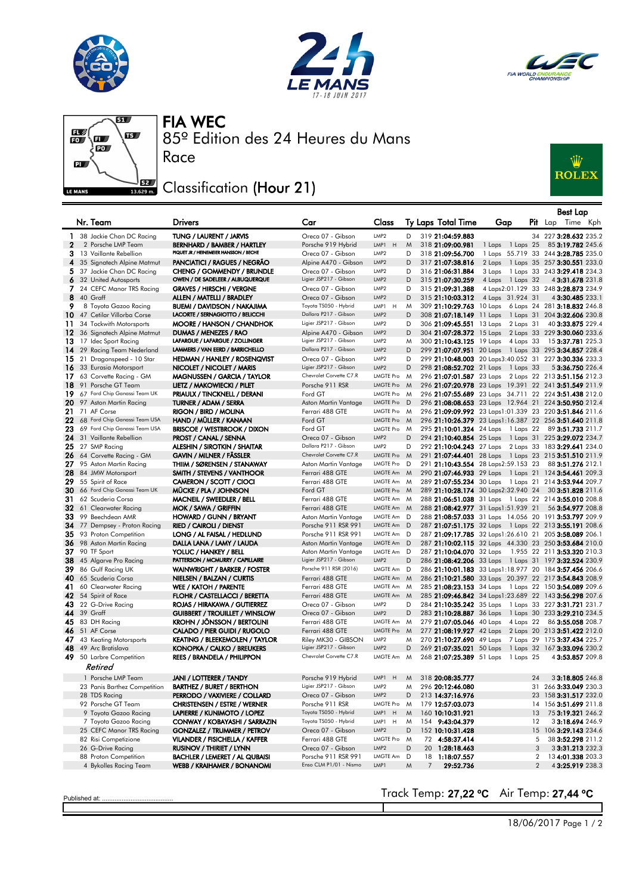





## FIA WEC

Race



國  $\mathbf{E}$  $\begin{matrix} \blacksquare \ \blacksquare \ \blacksquare \end{matrix}$  $\overline{\mathbf{a}}$  $\frac{\sqrt{2}}{2}$  Classification (Hour 21) LE MANS

 $51/3$ 

## W<br>ROLEX

|              |                                                                          |                                                                  |                                               |                               |             |                                                                                              |                  |                     | <b>Best Lap</b>                                  |  |
|--------------|--------------------------------------------------------------------------|------------------------------------------------------------------|-----------------------------------------------|-------------------------------|-------------|----------------------------------------------------------------------------------------------|------------------|---------------------|--------------------------------------------------|--|
|              | Nr. Team                                                                 | <b>Drivers</b>                                                   | Car                                           | Class                         |             | Ty Laps Total Time                                                                           | Gap              |                     | <b>Pit</b> Lap Time Kph                          |  |
| 1            | 38 Jackie Chan DC Racing                                                 | TUNG / LAURENT / JARVIS                                          | Oreca 07 - Gibson                             | LMP2                          | D           | 319 21:04:59.883                                                                             |                  |                     | 34 227 3:28.632 235.2                            |  |
| $\mathbf{2}$ | 2 Porsche LMP Team                                                       | BERNHARD / BAMBER / HARTLEY                                      | Porsche 919 Hybrid                            | LMP1 H                        | M           | 318 21:09:00.981                                                                             | 1 Laps 1 Laps 25 |                     | 85 3:19.782 245.6                                |  |
|              | 3 13 Vaillante Rebellion                                                 | PIQUET JR / HEINEMEIER HANSSON / BECHE                           | Oreca 07 - Gibson                             | LMP2                          | D           | 318 21:09:56.700                                                                             |                  |                     | 1 Laps 55.719 33 244 3:28.785 235.0              |  |
|              | 4 35 Signatech Alpine Matmut                                             | PANCIATICI / RAGUES / NEGRÃO                                     | Alpine A470 - Gibson                          | LMP <sub>2</sub>              | D           | 317 21:07:38.816                                                                             |                  |                     | 2 Laps 1 Laps 35 257 3:30.551 233.0              |  |
|              | 5 37 Jackie Chan DC Racing                                               | CHENG / GOMMENDY / BRUNDLE                                       | Oreca 07 - Gibson                             | LMP <sub>2</sub>              | D           | 316 21:06:31.884                                                                             | 3 Laps           |                     | 1 Laps 33 243 3:29.418 234.3                     |  |
|              | 6 32 United Autosports                                                   | OWEN / DE SADELEER / ALBUQUERQUE                                 | Ligier JSP217 - Gibson                        | LMP <sub>2</sub>              | D           | 315 21:07:30.259                                                                             | 4 Laps 1 Laps 32 |                     | 4 3:31.678 231.8                                 |  |
|              | 7 24 CEFC Manor TRS Racing                                               | <b>GRAVES / HIRSCHI / VERGNE</b>                                 | Oreca 07 - Gibson                             | LMP2                          | D           | 315 21:09:31.388                                                                             |                  |                     | 4 Laps2:01.129 33 248 3:28.873 234.9             |  |
|              | <b>8</b> 40 Graff                                                        | ALLEN / MATELLI / BRADLEY                                        | Oreca 07 - Gibson                             | LMP <sub>2</sub>              | D           | 315 21:10:03.312                                                                             | 4 Laps 31.924 31 |                     | 4 3:30.485 233.1                                 |  |
| 9            | 8 Toyota Gazoo Racing                                                    | BUEMI / DAVIDSON / NAKAJIMA                                      | Toyota TS050 - Hybrid                         | LMP1<br>H                     | M           | 309 21:10:29.763 10 Laps 6 Laps 24 281 3:18.832 246.8                                        |                  |                     |                                                  |  |
|              | $10$ 47 Cetilar Villorba Corse                                           | LACORTE / SERNAGIOTTO / BELICCHI                                 | Dallara P217 - Gibson                         | LMP <sub>2</sub>              | D           | 308 21:07:18.149 11 Laps 1 Laps 31 204 3:32.606 230.8                                        |                  |                     |                                                  |  |
|              | 11 34 Tockwith Motorsports                                               | <b>MOORE / HANSON / CHANDHOK</b>                                 | Ligier JSP217 - Gibson                        | LMP2                          | D           | 306 21:09:45.551 13 Laps 2 Laps 31                                                           |                  |                     | 40 3:33.875 229.4                                |  |
|              | 12 36 Signatech Alpine Matmut                                            | DUMAS / MENEZES / RAO                                            | Alpine A470 - Gibson                          | LMP <sub>2</sub>              | D           | 304 21:07:28.372 15 Laps 2 Laps 33 229 3:30.060 233.6                                        |                  |                     |                                                  |  |
|              | 13 17 Idec Sport Racing                                                  | LAFARGUE / LAFARGUE / ZOLLINGER                                  | Ligier JSP217 - Gibson                        | LMP <sub>2</sub>              | M           | 300 21:10:43.125 19 Laps 4 Laps 33                                                           |                  |                     | 15 <b>3:37.781</b> 225.3                         |  |
|              | 14 29 Racing Team Nederland                                              | LAMMERS / VAN EERD / BARRICHELLO                                 | Dallara P217 - Gibson                         | LMP <sub>2</sub>              | D           | 299 21:07:07.951 20 Laps 1 Laps 33 295 3:34.857 228.4                                        |                  |                     |                                                  |  |
|              | 15 21 Dragonspeed - 10 Star                                              | HEDMAN / HANLEY / ROSENQVIST                                     | Oreca 07 - Gibson                             | LMP <sub>2</sub>              | D           | 299 21:10:48.003 20 Laps3:40.052 31 227 3:30.336 233.3                                       |                  |                     |                                                  |  |
|              | 16 33 Eurasia Motorsport                                                 | NICOLET / NICOLET / MARIS                                        | Ligier JSP217 - Gibson                        | LMP <sub>2</sub>              | D           | 298 21:08:52.702 21 Laps 1 Laps 33                                                           |                  |                     | 5 3:36.750 226.4                                 |  |
|              | 17 63 Corvette Racing - GM                                               | <b>MAGNUSSEN / GARCIA / TAYLOR</b>                               | Chevrolet Corvette C7.R                       | LMGTE Pro M                   |             | 296 21:07:01.587 23 Laps 2 Laps 22 213 3:51.156 212.3                                        |                  |                     |                                                  |  |
|              | 18 91 Porsche GT Team                                                    | LIETZ / MAKOWIECKI / PILET                                       | Porsche 911 RSR                               | <b>LMGTE Pro</b>              | M           | 296 21:07:20.978 23 Laps 19.391 22 241 3:51.549 211.9                                        |                  |                     |                                                  |  |
|              | 19 67 Ford Chip Ganassi Team UK                                          | PRIAULX / TINCKNELL / DERANI                                     | Ford GT                                       | LMGTE Pro                     | M           | 296 21:07:55.689 23 Laps 34.711 22 224 3:51.438 212.0                                        |                  |                     |                                                  |  |
|              | 20 97 Aston Martin Racing                                                | TURNER / ADAM / SERRA                                            | Aston Martin Vantage                          | <b>LMGTE Pro</b>              | D           | 296 21:08:08.653 23 Laps 12.964 21 224 3:50.950 212.4                                        |                  |                     |                                                  |  |
|              | <b>21</b> 71 AF Corse                                                    | RIGON / BIRD / MOLINA                                            | Ferrari 488 GTE                               | LMGTE Pro<br><b>LMGTE Pro</b> | M           | 296 21:09:09.992 23 Laps1:01.339 23 220 3:51.846 211.6                                       |                  |                     |                                                  |  |
|              | $22\,$ 68 Ford Chip Ganassi Team USA<br>23 69 Ford Chip Ganassi Team USA | HAND / MÜLLER / KANAAN                                           | Ford GT<br>Ford GT                            | LMGTE Pro M                   | $M_{\odot}$ | 296 21:10:26.379 23 Laps1:16.387 22 256 3:51.640 211.8<br>295 21:10:01.324 24 Laps 1 Laps 22 |                  |                     |                                                  |  |
|              | 24 31 Vaillante Rebellion                                                | <b>BRISCOE / WESTBROOK / DIXON</b><br>PROST / CANAL / SENNA      | Oreca 07 - Gibson                             | LMP <sub>2</sub>              | D           | 294 21:10:40.854 25 Laps 1 Laps 31 225 3:29.072 234.7                                        |                  |                     | 89 3:51.733 211.7                                |  |
|              | $25$ 27 SMP Racing                                                       | ALESHIN / SIROTKIN / SHAITAR                                     | Dallara P217 - Gibson                         | LMP2                          | D           | 292 21:10:04.243 27 Laps 2 Laps 33 183 3:29.641 234.0                                        |                  |                     |                                                  |  |
|              | $26$ 64 Corvette Racing - GM                                             | GAVIN / MILNER / FASSLER                                         | Chevrolet Corvette C7.R                       | LMGTE Pro M                   |             | 291 21:07:44.401 28 Laps 1 Laps 23 215 3:51.510 211.9                                        |                  |                     |                                                  |  |
|              | 27 95 Aston Martin Racing                                                | THIIM / SØRENSEN / STANAWAY                                      | Aston Martin Vantage                          | LMGTE Pro                     | D           | 291 21:10:43.554 28 Laps2:59.153 23                                                          |                  |                     | 88 3:51.276 212.1                                |  |
|              | 28 84 JMW Motorsport                                                     | SMITH / STEVENS / VANTHOOR                                       | Ferrari 488 GTE                               | LMGTE Am M                    |             | 290 21:07:46.933 29 Laps 1 Laps 21 124 3:54.461 209.3                                        |                  |                     |                                                  |  |
|              | $29$ 55 Spirit of Race                                                   | CAMERON / SCOTT / CIOCI                                          | Ferrari 488 GTE                               | LMGTE Am M                    |             | 289 21:07:55.234 30 Laps 1 Laps 21 214 3:53.944 209.7                                        |                  |                     |                                                  |  |
|              | 30 66 Ford Chip Ganassi Team UK                                          | MUCKE / PLA / JOHNSON                                            | Ford GT                                       | <b>LMGTE Pro</b>              | M           | 289 21:10:28.174 30 Laps2:32.940 24                                                          |                  |                     | 30 3:51.828 211.6                                |  |
|              | $31$ 62 Scuderia Corsa                                                   | MACNEIL / SWEEDLER / BELL                                        | Ferrari 488 GTE                               | LMGTE Am M                    |             | 288 21:06:51.038 31 Laps 1 Laps 22 214 3:55.010 208.8                                        |                  |                     |                                                  |  |
|              | 32 61 Clearwater Racing                                                  | MOK / SAWA / GRIFFIN                                             | Ferrari 488 GTE                               | LMGTE Am M                    |             | 288 21:08:42.977 31 Laps1:51.939 21                                                          |                  |                     | 56 3:54.977 208.8                                |  |
|              | 33 99 Beechdean AMR                                                      | HOWARD / GUNN / BRYANT                                           | Aston Martin Vantage                          | LMGTE Am D                    |             | 288 21:08:57.033 31 Laps 14.056 20 191 3:53.797 209.9                                        |                  |                     |                                                  |  |
|              | 34 77 Dempsey - Proton Racing                                            | <b>RIED / CAIROLI / DIENST</b>                                   | Porsche 911 RSR 991                           | LMGTE Am D                    |             | 287 21:07:51.175 32 Laps 1 Laps 22 213 3:55.191 208.6                                        |                  |                     |                                                  |  |
|              | 35 93 Proton Competition                                                 | LONG / AL FAISAL / HEDLUND                                       | Porsche 911 RSR 991                           | LMGTE Am D                    |             | 287 21:09:17.785 32 Laps1:26.610 21 205 3:58.089 206.1                                       |                  |                     |                                                  |  |
|              | <b>36</b> 98 Aston Martin Racing                                         | DALLA LANA / LAMY / LAUDA                                        | Aston Martin Vantage                          | LMGTE Am D                    |             | 287 21:10:02.115 32 Laps 44.330 23 250 3:53.684 210.0                                        |                  |                     |                                                  |  |
|              | 37 90 TF Sport                                                           | YOLUC / HANKEY / BELL                                            | Aston Martin Vantage                          | LMGTE Am D                    |             | 287 21:10:04.070 32 Laps                                                                     |                  |                     | 1.955 22 211 <b>3:53.320</b> 210.3               |  |
|              | $38$ 45 Algarve Pro Racing                                               | PATTERSON / MCMURRY / CAPILLAIRE                                 | Ligier JSP217 - Gibson                        | LMP <sub>2</sub>              | D           | 286 21:08:42.206 33 Laps 1 Laps 31 197 3:32.524 230.9                                        |                  |                     |                                                  |  |
|              | 39 86 Gulf Racing UK                                                     | WAINWRIGHT / BARKER / FOSTER                                     | Porsche 911 RSR (2016)                        | LMGTE Am D                    |             | 286 21:10:01.183 33 Laps1:18.977 20 184 3:57.456 206.6                                       |                  |                     |                                                  |  |
|              | <b>40</b> 65 Scuderia Corsa                                              | NIELSEN / BALZAN / CURTIS                                        | Ferrari 488 GTE                               | LMGTE Am M                    |             | 286 21:10:21.580 33 Laps 20.397 22 217 3:54.843 208.9                                        |                  |                     |                                                  |  |
| 41           | 60 Clearwater Racing                                                     | WEE / KATOH / PARENTE                                            | Ferrari 488 GTE                               | LMGTE Am M                    |             | 285 21:08:23.153 34 Laps 1 Laps 22 150 3:54.089 209.6                                        |                  |                     |                                                  |  |
|              | 42 54 Spirit of Race                                                     | FLOHR / CASTELLACCI / BERETTA                                    | Ferrari 488 GTE                               | LMGTE Am M                    |             | 285 21:09:46.842 34 Laps1:23.689 22 143 3:56.298 207.6                                       |                  |                     |                                                  |  |
|              | 43 22 G-Drive Racing                                                     | ROJAS / HIRAKAWA / GUTIERREZ                                     | Oreca 07 - Gibson                             | LMP <sub>2</sub>              | D           | 284 21:10:35.242 35 Laps 1 Laps 33 227 3:31.721 231.7                                        |                  |                     |                                                  |  |
|              | <b>44</b> 39 Graff                                                       | <b>GUIBBERT / TROUILLET / WINSLOW</b>                            | Oreca 07 - Gibson                             | LMP <sub>2</sub>              | D           | 283 21:10:28.887 36 Laps                                                                     |                  |                     | 1 Laps 30 233 3:29.210 234.5                     |  |
|              | $45$ 83 DH Racing                                                        | <b>KROHN / JONSSON / BERTOLINI</b>                               | Ferrari 488 GTE                               | LMGTE Am M                    |             | 279 21:07:05.046 40 Laps                                                                     |                  |                     | 4 Laps 22 86 3:55.058 208.7                      |  |
|              | <b>46</b> 51 AF Corse                                                    | CALADO / PIER GUIDI / RUGOLO                                     | Ferrari 488 GTE                               | LMGTE Pro M                   |             | 277 21:08:19.927 42 Laps                                                                     |                  |                     | 2 Laps 20 213 3:51.422 212.0                     |  |
|              | <b>47</b> 43 Keating Motorsports<br>$48$ 49 Arc Bratislava               | KEATING / BLEEKEMOLEN / TAYLOR                                   | Riley MK30 - GIBSON<br>Ligier JSP217 - Gibson | LMP2<br>LMP <sub>2</sub>      | M           | 270 21:10:27.690 49 Laps                                                                     |                  |                     | 7 Laps 29 175 3:37.434 225.7                     |  |
|              | 49 50 Larbre Competition                                                 | KONOPKA / CALKO / BREUKERS<br><b>REES / BRANDELA / PHILIPPON</b> | Chevrolet Corvette C7.R                       | LMGTE Am M                    | D           | 269 21:07:35.021 50 Laps<br>268 21:07:25.389 51 Laps 1 Laps 25                               |                  |                     | 1 Laps 32 167 3:33.096 230.2<br>4 3:53.857 209.8 |  |
|              |                                                                          |                                                                  |                                               |                               |             |                                                                                              |                  |                     |                                                  |  |
|              | Retired                                                                  |                                                                  |                                               |                               |             |                                                                                              |                  |                     |                                                  |  |
|              | 1 Porsche LMP Team                                                       | <b>JANI / LOTTERER / TANDY</b>                                   | Porsche 919 Hybrid                            | LMP1 H                        | M           | 318 20:08:35.777                                                                             |                  | 24                  | 33:18.805 246.8                                  |  |
|              | 23 Panis Barthez Competition                                             | <b>BARTHEZ / BURET / BERTHON</b>                                 | Ligier JSP217 - Gibson                        | LMP2                          | M           | 296 20:12:46.080                                                                             |                  |                     | 31 266 3:33.049 230.3                            |  |
|              | 28 TDS Racing                                                            | PERRODO / VAXIVIERE / COLLARD                                    | Oreca 07 - Gibson                             | LMP2                          | D           | 213 14:37:16.976                                                                             |                  |                     | 23 158 3:31.517 232.0                            |  |
|              | 92 Porsche GT Team                                                       | CHRISTENSEN / ESTRE / WERNER                                     | Porsche 911 RSR                               | LMGTE Pro                     | M           | 179 12:57:03.073                                                                             |                  |                     | 14 156 3:51.699 211.8                            |  |
|              | 9 Toyota Gazoo Racing                                                    | LAPIERRE / KUNIMOTO / LOPEZ                                      | Toyota TS050 - Hybrid                         | LMP1 H                        | M           | 160 10:10:31.921                                                                             |                  | 13                  | 75 3:19.321 246.2                                |  |
|              | 7 Toyota Gazoo Racing                                                    | CONWAY / KOBAYASHI / SARRAZIN                                    | Toyota TS050 - Hybrid                         | LMP1 H                        | M           | 154 9:43:04.379                                                                              |                  | 12                  | 33:18.694 246.9                                  |  |
|              | 25 CEFC Manor TRS Racing                                                 | <b>GONZALEZ / TRUMMER / PETROV</b>                               | Oreca 07 - Gibson                             | LMP2                          | D           | 152 10:10:31.428                                                                             |                  |                     | 15 106 3:29.143 234.6                            |  |
|              | 82 Risi Competizione                                                     | VILANDER / FISICHELLA / KAFFER                                   | Ferrari 488 GTE                               | LMGTE Pro<br>LMP2             | M           | 72 4:58:37.414                                                                               |                  | 5                   | 38 3:52.298 211.2                                |  |
|              | 26 G-Drive Racing<br>88 Proton Competition                               | RUSINOV / THIRIET / LYNN                                         | Oreca 07 - Gibson<br>Porsche 911 RSR 991      | LMGTE Am                      | D           | 20 1:28:18.463                                                                               |                  | 3                   | 33:31.213 232.3                                  |  |
|              | 4 Bykolles Racing Team                                                   | BACHLER / LEMERET / AL QUBAISI<br>WEBB / KRAIHAMER / BONANOMI    | Enso CLM P1/01 - Nismo                        | LMP1                          | D<br>M      | 1:18:07.557<br>18<br>$\overline{7}$<br>29:52.736                                             |                  | 2<br>$\overline{2}$ | 134:01.338 203.3<br>43:25.919 238.3              |  |
|              |                                                                          |                                                                  |                                               |                               |             |                                                                                              |                  |                     |                                                  |  |

Published at: ........................................ Track Temp: **27,22 ºC** Air Temp: **27,44 ºC**

| ublished at: |  |  |  |
|--------------|--|--|--|
|              |  |  |  |
|              |  |  |  |

18/06/2017 Page 1 / 2